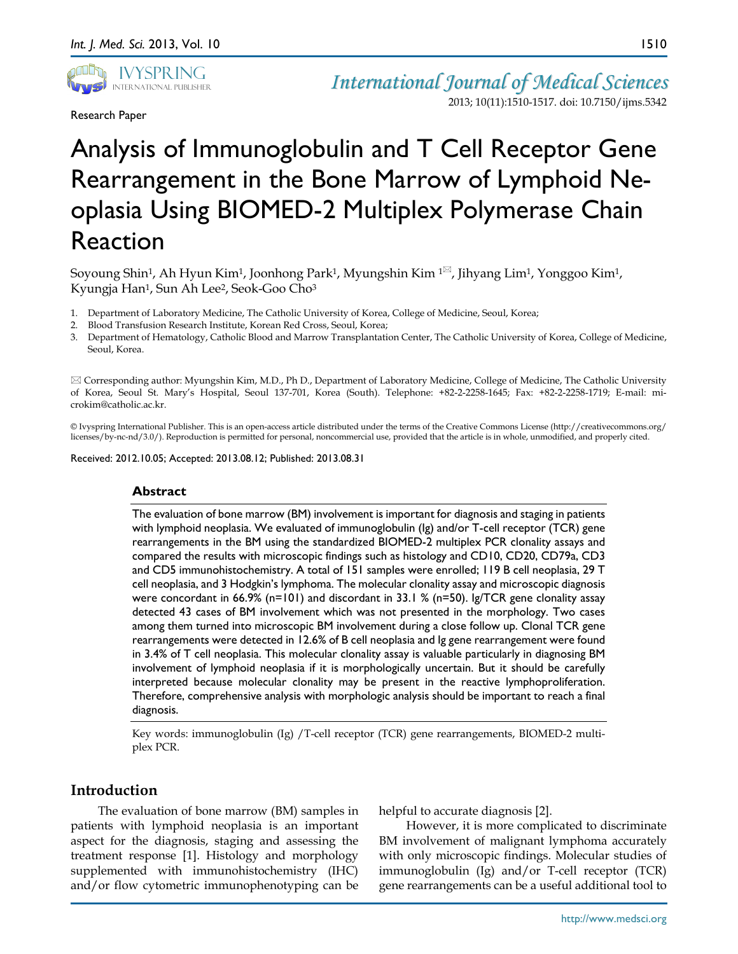

Research Paper

*International Journal of Medical Sciences* 2013; 10(11):1510-1517. doi: 10.7150/ijms.5342

# Analysis of Immunoglobulin and T Cell Receptor Gene Rearrangement in the Bone Marrow of Lymphoid Neoplasia Using BIOMED-2 Multiplex Polymerase Chain Reaction

Soyoung Shin<sup>1</sup>, Ah Hyun Kim<sup>1</sup>, Joonhong Park<sup>1</sup>, Myungshin Kim<sup>1 $\boxtimes$ </sup>, Jihyang Lim<sup>1</sup>, Yonggoo Kim<sup>1</sup>, Kyungja Han<sup>1</sup>, Sun Ah Lee<sup>2</sup>, Seok-Goo Cho<sup>3</sup>

- 1. Department of Laboratory Medicine, The Catholic University of Korea, College of Medicine, Seoul, Korea;
- 2. Blood Transfusion Research Institute, Korean Red Cross, Seoul, Korea;
- 3. Department of Hematology, Catholic Blood and Marrow Transplantation Center, The Catholic University of Korea, College of Medicine, Seoul, Korea.

 Corresponding author: Myungshin Kim, M.D., Ph D., Department of Laboratory Medicine, College of Medicine, The Catholic University of Korea, Seoul St. Mary's Hospital, Seoul 137-701, Korea (South). Telephone: +82-2-2258-1645; Fax: +82-2-2258-1719; E-mail: microkim@catholic.ac.kr.

© Ivyspring International Publisher. This is an open-access article distributed under the terms of the Creative Commons License (http://creativecommons.org/ licenses/by-nc-nd/3.0/). Reproduction is permitted for personal, noncommercial use, provided that the article is in whole, unmodified, and properly cited.

Received: 2012.10.05; Accepted: 2013.08.12; Published: 2013.08.31

## **Abstract**

The evaluation of bone marrow (BM) involvement is important for diagnosis and staging in patients with lymphoid neoplasia. We evaluated of immunoglobulin (Ig) and/or T-cell receptor (TCR) gene rearrangements in the BM using the standardized BIOMED-2 multiplex PCR clonality assays and compared the results with microscopic findings such as histology and CD10, CD20, CD79a, CD3 and CD5 immunohistochemistry. A total of 151 samples were enrolled; 119 B cell neoplasia, 29 T cell neoplasia, and 3 Hodgkin's lymphoma. The molecular clonality assay and microscopic diagnosis were concordant in 66.9% (n=101) and discordant in 33.1 % (n=50). Ig/TCR gene clonality assay detected 43 cases of BM involvement which was not presented in the morphology. Two cases among them turned into microscopic BM involvement during a close follow up. Clonal TCR gene rearrangements were detected in 12.6% of B cell neoplasia and Ig gene rearrangement were found in 3.4% of T cell neoplasia. This molecular clonality assay is valuable particularly in diagnosing BM involvement of lymphoid neoplasia if it is morphologically uncertain. But it should be carefully interpreted because molecular clonality may be present in the reactive lymphoproliferation. Therefore, comprehensive analysis with morphologic analysis should be important to reach a final diagnosis.

Key words: immunoglobulin (Ig) /T-cell receptor (TCR) gene rearrangements, BIOMED-2 multiplex PCR.

# **Introduction**

The evaluation of bone marrow (BM) samples in patients with lymphoid neoplasia is an important aspect for the diagnosis, staging and assessing the treatment response [1]. Histology and morphology supplemented with immunohistochemistry (IHC) and/or flow cytometric immunophenotyping can be

helpful to accurate diagnosis [2].

However, it is more complicated to discriminate BM involvement of malignant lymphoma accurately with only microscopic findings. Molecular studies of immunoglobulin (Ig) and/or T-cell receptor (TCR) gene rearrangements can be a useful additional tool to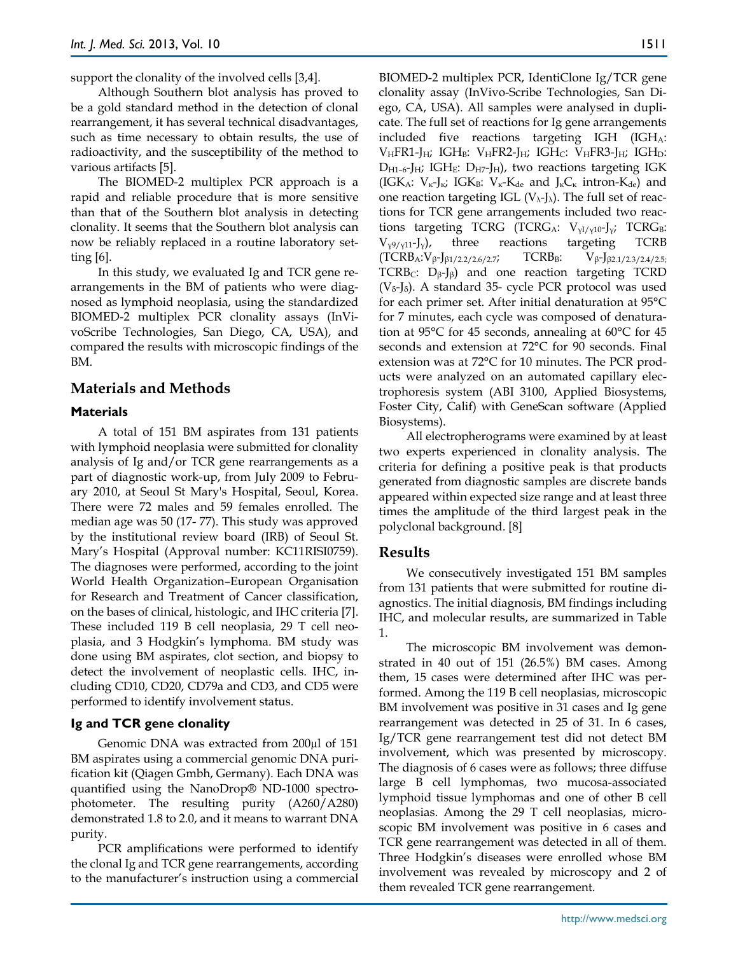support the clonality of the involved cells [3,4].

Although Southern blot analysis has proved to be a gold standard method in the detection of clonal rearrangement, it has several technical disadvantages, such as time necessary to obtain results, the use of radioactivity, and the susceptibility of the method to various artifacts [5].

The BIOMED-2 multiplex PCR approach is a rapid and reliable procedure that is more sensitive than that of the Southern blot analysis in detecting clonality. It seems that the Southern blot analysis can now be reliably replaced in a routine laboratory setting [6].

In this study, we evaluated Ig and TCR gene rearrangements in the BM of patients who were diagnosed as lymphoid neoplasia, using the standardized BIOMED-2 multiplex PCR clonality assays (InVivoScribe Technologies, San Diego, CA, USA), and compared the results with microscopic findings of the BM.

# **Materials and Methods**

#### **Materials**

A total of 151 BM aspirates from 131 patients with lymphoid neoplasia were submitted for clonality analysis of Ig and/or TCR gene rearrangements as a part of diagnostic work-up, from July 2009 to February 2010, at Seoul St Mary's Hospital, Seoul, Korea. There were 72 males and 59 females enrolled. The median age was 50 (17- 77). This study was approved by the institutional review board (IRB) of Seoul St. Mary's Hospital (Approval number: KC11RISI0759). The diagnoses were performed, according to the joint World Health Organization–European Organisation for Research and Treatment of Cancer classification, on the bases of clinical, histologic, and IHC criteria [7]. These included 119 B cell neoplasia, 29 T cell neoplasia, and 3 Hodgkin's lymphoma. BM study was done using BM aspirates, clot section, and biopsy to detect the involvement of neoplastic cells. IHC, including CD10, CD20, CD79a and CD3, and CD5 were performed to identify involvement status.

## **Ig and TCR gene clonality**

Genomic DNA was extracted from 200µl of 151 BM aspirates using a commercial genomic DNA purification kit (Qiagen Gmbh, Germany). Each DNA was quantified using the NanoDrop® ND-1000 spectrophotometer. The resulting purity (A260/A280) demonstrated 1.8 to 2.0, and it means to warrant DNA purity.

PCR amplifications were performed to identify the clonal Ig and TCR gene rearrangements, according to the manufacturer's instruction using a commercial BIOMED-2 multiplex PCR, IdentiClone Ig/TCR gene clonality assay (InVivo-Scribe Technologies, San Diego, CA, USA). All samples were analysed in duplicate. The full set of reactions for Ig gene arrangements included five reactions targeting IGH (IGHA:  $V_HFR1-J_H$ ; IGH<sub>B</sub>:  $V_HFR2-J_H$ ; IGH<sub>C</sub>:  $V_HFR3-J_H$ ; IGH<sub>D</sub>:  $D_{H1-6}$ -J<sub>H</sub>; IGH<sub>E</sub>:  $D_{H7}$ -J<sub>H</sub>), two reactions targeting IGK (IGK<sub>A</sub>:  $V_{\kappa}$ -J<sub>κ</sub>; IGK<sub>B</sub>:  $V_{\kappa}$ -K<sub>de</sub> and J<sub>κ</sub>C<sub>κ</sub> intron-K<sub>de</sub>) and one reaction targeting IGL  $(V_\lambda-I_\lambda)$ . The full set of reactions for TCR gene arrangements included two reactions targeting TCRG (TCRG<sub>A</sub>:  $V_{\text{VI/VI0}}$ -J<sub>v</sub>; TCRG<sub>B</sub>:  $V_{\gamma9/\gamma11}$ -J<sub>y</sub>), three reactions targeting TCRB  $(TCRB<sub>A</sub>:V<sub>β</sub>-J<sub>β1/2.2/2.6/2.7; TCRB<sub>B</sub>: V<sub>β</sub>-J<sub>β2.1/2.3/2.4/2.5;</sub></sub>$ TCRB<sub>C</sub>:  $D_{\beta}$ -J<sub>β</sub>) and one reaction targeting TCRD ( $V_{\delta}$ -J<sub>δ</sub>). A standard 35- cycle PCR protocol was used for each primer set. After initial denaturation at 95°C for 7 minutes, each cycle was composed of denaturation at 95°C for 45 seconds, annealing at 60°C for 45 seconds and extension at 72°C for 90 seconds. Final extension was at 72°C for 10 minutes. The PCR products were analyzed on an automated capillary electrophoresis system (ABI 3100, Applied Biosystems, Foster City, Calif) with GeneScan software (Applied Biosystems).

All electropherograms were examined by at least two experts experienced in clonality analysis. The criteria for defining a positive peak is that products generated from diagnostic samples are discrete bands appeared within expected size range and at least three times the amplitude of the third largest peak in the polyclonal background. [8]

## **Results**

We consecutively investigated 151 BM samples from 131 patients that were submitted for routine diagnostics. The initial diagnosis, BM findings including IHC, and molecular results, are summarized in Table 1.

The microscopic BM involvement was demonstrated in 40 out of 151 (26.5%) BM cases. Among them, 15 cases were determined after IHC was performed. Among the 119 B cell neoplasias, microscopic BM involvement was positive in 31 cases and Ig gene rearrangement was detected in 25 of 31. In 6 cases, Ig/TCR gene rearrangement test did not detect BM involvement, which was presented by microscopy. The diagnosis of 6 cases were as follows; three diffuse large B cell lymphomas, two mucosa-associated lymphoid tissue lymphomas and one of other B cell neoplasias. Among the 29 T cell neoplasias, microscopic BM involvement was positive in 6 cases and TCR gene rearrangement was detected in all of them. Three Hodgkin's diseases were enrolled whose BM involvement was revealed by microscopy and 2 of them revealed TCR gene rearrangement.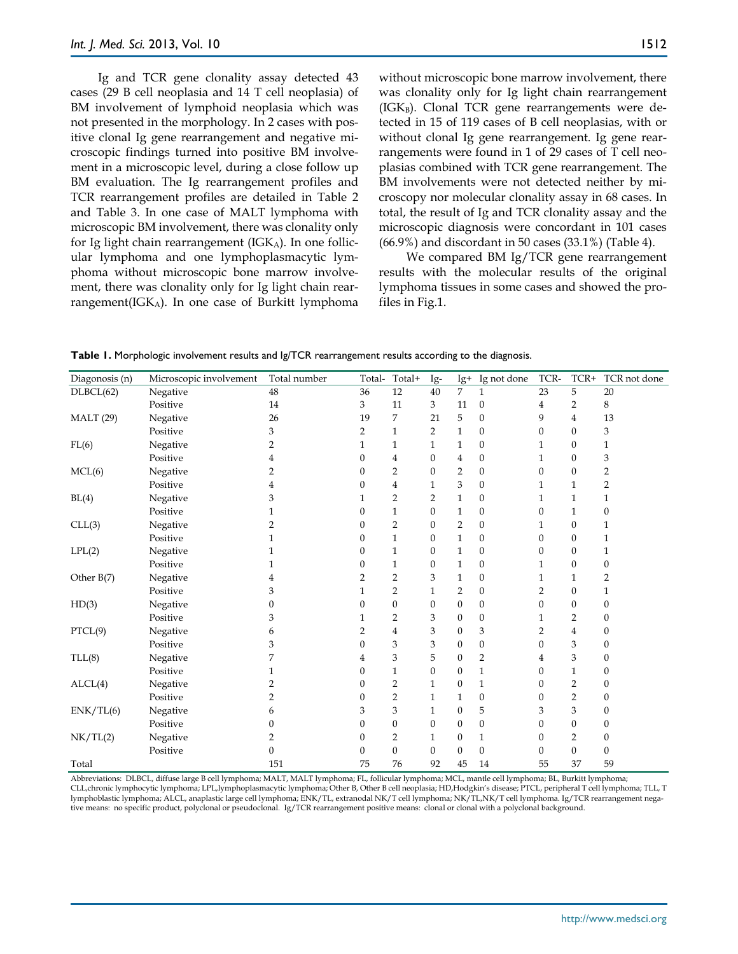Ig and TCR gene clonality assay detected 43 cases (29 B cell neoplasia and 14 T cell neoplasia) of BM involvement of lymphoid neoplasia which was not presented in the morphology. In 2 cases with positive clonal Ig gene rearrangement and negative microscopic findings turned into positive BM involvement in a microscopic level, during a close follow up BM evaluation. The Ig rearrangement profiles and TCR rearrangement profiles are detailed in Table 2 and Table 3. In one case of MALT lymphoma with

microscopic BM involvement, there was clonality only for Ig light chain rearrangement (IGK $_A$ ). In one follicular lymphoma and one lymphoplasmacytic lymphoma without microscopic bone marrow involvement, there was clonality only for Ig light chain rearrangement( $IGK_A$ ). In one case of Burkitt lymphoma without microscopic bone marrow involvement, there was clonality only for Ig light chain rearrangement  $(IGK_B)$ . Clonal TCR gene rearrangements were detected in 15 of 119 cases of B cell neoplasias, with or without clonal Ig gene rearrangement. Ig gene rearrangements were found in 1 of 29 cases of T cell neoplasias combined with TCR gene rearrangement. The BM involvements were not detected neither by microscopy nor molecular clonality assay in 68 cases. In total, the result of Ig and TCR clonality assay and the microscopic diagnosis were concordant in 101 cases (66.9%) and discordant in 50 cases (33.1%) (Table 4).

We compared BM Ig/TCR gene rearrangement results with the molecular results of the original lymphoma tissues in some cases and showed the profiles in Fig.1.

| Diagonosis (n)   | Microscopic involvement | Total number | Total-   | Total+           | Ig-              | Ig+              | Ig not done      | TCR-             | TCR+             | TCR not done     |
|------------------|-------------------------|--------------|----------|------------------|------------------|------------------|------------------|------------------|------------------|------------------|
| DLBCL(62)        | Negative                | 48           | 36       | 12               | 40               | 7                | $\mathbf{1}$     | 23               | 5                | $20\,$           |
|                  | Positive                | 14           | 3        | 11               | 3                | 11               | $\boldsymbol{0}$ | 4                | $\overline{2}$   | $\,8\,$          |
| <b>MALT</b> (29) | Negative                | 26           | 19       | 7                | 21               | 5                | $\boldsymbol{0}$ | 9                | $\overline{4}$   | 13               |
|                  | Positive                | 3            | 2        | $\mathbf{1}$     | 2                | $\mathbf{1}$     | $\boldsymbol{0}$ | $\boldsymbol{0}$ | $\boldsymbol{0}$ | 3                |
| FL(6)            | Negative                | 2            | 1        | $\mathbf{1}$     | 1                | $\mathbf{1}$     | $\boldsymbol{0}$ | 1                | $\theta$         | 1                |
|                  | Positive                |              | $\Omega$ | 4                | $\boldsymbol{0}$ | 4                | $\boldsymbol{0}$ | 1                | $\boldsymbol{0}$ | $\mathfrak{B}$   |
| MCL(6)           | Negative                | 2            | $\Omega$ | 2                | $\theta$         | 2                | $\boldsymbol{0}$ | $\boldsymbol{0}$ | $\boldsymbol{0}$ | $\overline{2}$   |
|                  | Positive                | 4            | $\Omega$ | $\overline{4}$   | 1                | 3                | $\boldsymbol{0}$ | 1                | $\mathbf{1}$     | $\overline{2}$   |
| BL(4)            | Negative                | 3            | 1        | $\overline{2}$   | $\overline{2}$   | $\mathbf{1}$     | $\boldsymbol{0}$ | 1                | $\mathbf{1}$     | $\mathbf{1}$     |
|                  | Positive                | 1            | $\Omega$ | $\mathbf{1}$     | 0                | $\mathbf{1}$     | $\boldsymbol{0}$ | 0                | $\mathbf{1}$     | $\boldsymbol{0}$ |
| CLL(3)           | Negative                | 2            | $\Omega$ | 2                | $\theta$         | $\overline{2}$   | $\boldsymbol{0}$ | 1                | $\boldsymbol{0}$ | $\mathbf{1}$     |
|                  | Positive                | 1            | 0        | $\mathbf{1}$     | $\mathbf{0}$     | $\mathbf{1}$     | $\boldsymbol{0}$ | 0                | $\boldsymbol{0}$ | 1                |
| LPL(2)           | Negative                | 1            | 0        | $\mathbf{1}$     | $\mathbf{0}$     | $\mathbf{1}$     | $\boldsymbol{0}$ | 0                | $\boldsymbol{0}$ | $\mathbf{1}$     |
|                  | Positive                |              | $\Omega$ | 1                | $\boldsymbol{0}$ | $\mathbf{1}$     | $\boldsymbol{0}$ | 1                | $\boldsymbol{0}$ | $\boldsymbol{0}$ |
| Other $B(7)$     | Negative                | 4            | 2        | 2                | 3                | $\mathbf{1}$     | $\boldsymbol{0}$ | 1                | $\mathbf{1}$     | $\overline{2}$   |
|                  | Positive                | 3            | 1        | $\overline{2}$   | 1                | $\overline{2}$   | $\boldsymbol{0}$ | 2                | $\boldsymbol{0}$ | 1                |
| HD(3)            | Negative                | 0            | $\theta$ | $\overline{0}$   | $\overline{0}$   | $\theta$         | $\boldsymbol{0}$ | $\boldsymbol{0}$ | $\mathbf{0}$     | $\boldsymbol{0}$ |
|                  | Positive                | 3            | 1        | 2                | 3                | $\boldsymbol{0}$ | $\boldsymbol{0}$ | 1                | 2                | $\mathbf{0}$     |
| PTCL(9)          | Negative                | 6            | 2        | $\overline{4}$   | 3                | $\boldsymbol{0}$ | 3                | 2                | $\overline{4}$   | $\boldsymbol{0}$ |
|                  | Positive                | 3            | $\Omega$ | 3                | 3                | $\boldsymbol{0}$ | $\boldsymbol{0}$ | $\boldsymbol{0}$ | 3                | $\boldsymbol{0}$ |
| TLL(8)           | Negative                | 7            | 4        | 3                | 5                | $\boldsymbol{0}$ | 2                | 4                | 3                | $\boldsymbol{0}$ |
|                  | Positive                | 1            | $\Omega$ | 1                | $\theta$         | $\boldsymbol{0}$ | $\mathbf{1}$     | 0                | $\mathbf{1}$     | $\boldsymbol{0}$ |
| ALCL(4)          | Negative                | 2            | $\Omega$ | $\overline{2}$   | $\mathbf{1}$     | $\boldsymbol{0}$ | $\mathbf{1}$     | $\boldsymbol{0}$ | $\overline{2}$   | $\boldsymbol{0}$ |
|                  | Positive                | 2            | $\Omega$ | $\overline{2}$   | $\mathbf{1}$     | $\mathbf{1}$     | $\boldsymbol{0}$ | $\mathbf{0}$     | $\overline{2}$   | $\mathbf{0}$     |
| ENK/TL(6)        | Negative                | 6            | 3        | 3                | 1                | $\boldsymbol{0}$ | 5                | 3                | 3                | $\boldsymbol{0}$ |
|                  | Positive                | 0            | $\Omega$ | $\boldsymbol{0}$ | $\theta$         | $\boldsymbol{0}$ | $\boldsymbol{0}$ | $\boldsymbol{0}$ | $\boldsymbol{0}$ | $\boldsymbol{0}$ |
| NK/TL(2)         | Negative                | 2            | 0        | $\overline{2}$   | 1                | $\boldsymbol{0}$ | $\mathbf{1}$     | $\boldsymbol{0}$ | $\overline{2}$   | $\boldsymbol{0}$ |
|                  | Positive                | $\mathbf{0}$ | 0        | $\boldsymbol{0}$ | $\overline{0}$   | $\theta$         | $\boldsymbol{0}$ | $\boldsymbol{0}$ | $\overline{0}$   | $\boldsymbol{0}$ |
| Total            |                         | 151          | 75       | 76               | 92               | 45               | 14               | 55               | 37               | 59               |

**Table 1.** Morphologic involvement results and Ig/TCR rearrangement results according to the diagnosis.

Abbreviations: DLBCL, diffuse large B cell lymphoma; MALT, MALT lymphoma; FL, follicular lymphoma; MCL, mantle cell lymphoma; BL, Burkitt lymphoma; CLL,chronic lymphocytic lymphoma; LPL,lymphoplasmacytic lymphoma; Other B, Other B cell neoplasia; HD,Hodgkin's disease; PTCL, peripheral T cell lymphoma; TLL, T lymphoblastic lymphoma; ALCL, anaplastic large cell lymphoma; ENK/TL, extranodal NK/T cell lymphoma; NK/TL,NK/T cell lymphoma. Ig/TCR rearrangement negative means: no specific product, polyclonal or pseudoclonal. Ig/TCR rearrangement positive means: clonal or clonal with a polyclonal background.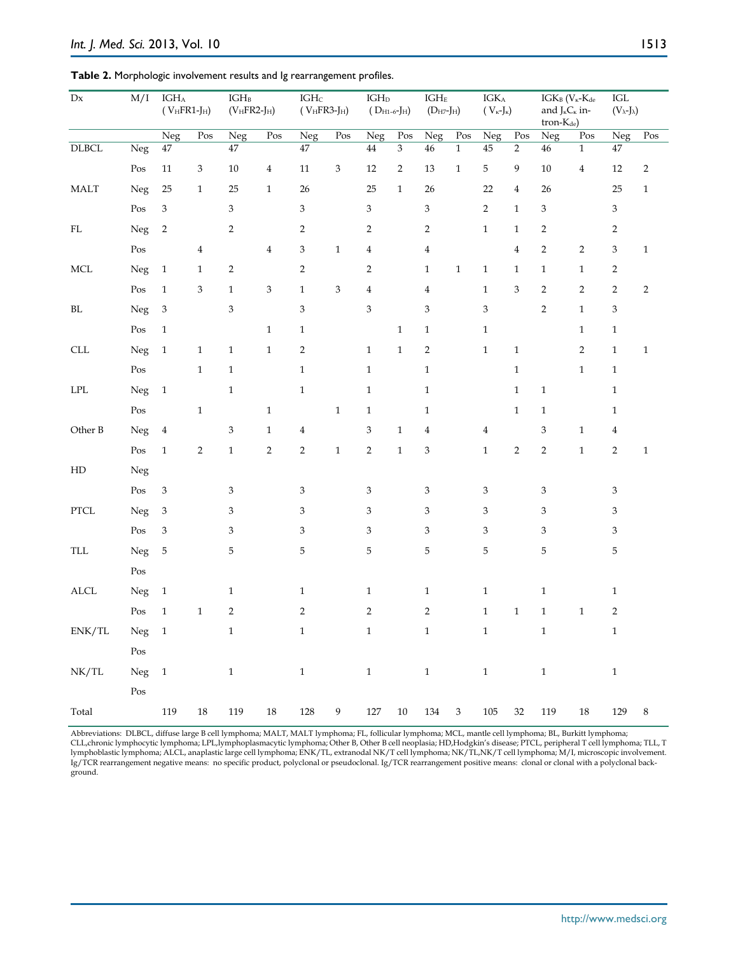| $\mathbf{D}\mathbf{x}$      | M/I                     | $\text{IGH}_{\text{A}}$<br>$(VHFR1-JH)$ |                           | $\text{IGH}_{\text{B}}$<br>$(VHFR2-JH)$ |                | $\text{IGH}\text{c}$<br>$(VHFR3-JH)$ |                           | $\text{IGH}_{\text{D}}$<br>$(D_{H1-6} - J_H)$ |                | $\text{IGH}_{\text{E}}$<br>$(D_{H7}$ -J $_{H})$ |                           | $\text{IGK}_{\text{A}}$<br>$(V_{\kappa}J_{\kappa})$ |                         | IGKB ( $V_{\kappa}$ -K <sub>de</sub><br>and $J_{\kappa}C_{\kappa}$ in-<br>tron-K <sub>de</sub> ) |              | $\rm IGL$<br>$(V_\lambda-J_\lambda)$ |                  |
|-----------------------------|-------------------------|-----------------------------------------|---------------------------|-----------------------------------------|----------------|--------------------------------------|---------------------------|-----------------------------------------------|----------------|-------------------------------------------------|---------------------------|-----------------------------------------------------|-------------------------|--------------------------------------------------------------------------------------------------|--------------|--------------------------------------|------------------|
|                             |                         | $\overline{\text{Neg}}$                 | Pos                       | Neg                                     | Pos            | Neg                                  | Pos                       | Neg                                           | Pos            | Neg                                             | Pos                       | Neg                                                 | $P_{OS}$                | Neg                                                                                              | Pos          | Neg                                  | $\overline{Pos}$ |
| $\overline{\text{DLBCL}}$   | Neg                     | $47\,$                                  |                           | $\overline{47}$                         |                | 47                                   |                           | $\bf 44$                                      | $\overline{3}$ | $46\,$                                          | $\,1\,$                   | $45\,$                                              | $\overline{2}$          | $\sqrt{46}$                                                                                      | $\,1$        | $47\,$                               |                  |
|                             | $\mathop{\mathrm{Pos}}$ | $11\,$                                  | $\ensuremath{\mathbf{3}}$ | $10\,$                                  | $\overline{4}$ | $11\,$                               | $\ensuremath{\mathbf{3}}$ | $12\,$                                        | $\overline{2}$ | 13                                              | $\mathbf{1}$              | 5                                                   | 9                       | $10\,$                                                                                           | $\bf{4}$     | $12\,$                               | $\overline{2}$   |
| $\operatorname{MALT}$       | Neg                     | 25                                      | $\,1\,$                   | 25                                      | $\mathbf{1}$   | $26\,$                               |                           | 25                                            | $\,1\,$        | 26                                              |                           | 22                                                  | $\overline{\mathbf{4}}$ | $26\,$                                                                                           |              | 25                                   | $\,1\,$          |
|                             | $\mathop{\mathrm{Pos}}$ | 3                                       |                           | $\ensuremath{\mathbf{3}}$               |                | $\mathfrak{Z}$                       |                           | $\,3$                                         |                | 3                                               |                           | $\sqrt{2}$                                          | $\mathbf{1}$            | $\,3$                                                                                            |              | 3                                    |                  |
| $\mathbf{FL}$               | Neg                     | $\overline{c}$                          |                           | $\sqrt{2}$                              |                | $\overline{2}$                       |                           | $\sqrt{2}$                                    |                | $\overline{2}$                                  |                           | $1\,$                                               | $\mathbf 1$             | $\overline{2}$                                                                                   |              | $\overline{c}$                       |                  |
|                             | Pos                     |                                         | $\bf 4$                   |                                         | $\overline{4}$ | 3                                    | $\mathbf 1$               | $\bf{4}$                                      |                | $\overline{4}$                                  |                           |                                                     | $\overline{\mathbf{4}}$ | $\overline{c}$                                                                                   | $\sqrt{2}$   | 3                                    | $\,1\,$          |
| $\rm MCL$                   | Neg                     | $\,1\,$                                 | $\mathbf{1}$              | $\overline{2}$                          |                | $\overline{2}$                       |                           | $\overline{2}$                                |                | $\mathbf{1}$                                    | $\mathbf 1$               | $1\,$                                               | $\mathbf{1}$            | $\,1$                                                                                            | $\mathbf{1}$ | $\overline{c}$                       |                  |
|                             | $\mathop{\mathrm{Pos}}$ | $\mathbf{1}$                            | $\ensuremath{\mathsf{3}}$ | $\mathbf{1}$                            | $\,3$          | $\,1$                                | $\ensuremath{\mathbf{3}}$ | $\overline{4}$                                |                | $\overline{4}$                                  |                           | $\,1\,$                                             | 3                       | $\overline{c}$                                                                                   | $\sqrt{2}$   | $\sqrt{2}$                           | $\sqrt{2}$       |
| $\rm BL$                    | Neg                     | $\ensuremath{\mathbf{3}}$               |                           | $\,3$                                   |                | $\,3$                                |                           | $\,3$                                         |                | $\mathfrak{Z}$                                  |                           | $\ensuremath{\mathbf{3}}$                           |                         | $\sqrt{2}$                                                                                       | $\mathbf{1}$ | $\,3$                                |                  |
|                             | Pos                     | $1\,$                                   |                           |                                         | $\mathbf{1}$   | $\,1\,$                              |                           |                                               | $\mathbf{1}$   | $\mathbf{1}$                                    |                           | $\,1\,$                                             |                         |                                                                                                  | $\,1\,$      | $\,1$                                |                  |
| $\ensuremath{\mathsf{CLL}}$ | Neg                     | $\,1\,$                                 | $\,1\,$                   | $\,1$                                   | $\,1\,$        | $\overline{2}$                       |                           | $\,1\,$                                       | $\mathbf{1}$   | $\sqrt{2}$                                      |                           | $\mathbf{1}$                                        | $\,1\,$                 |                                                                                                  | $\sqrt{2}$   | $\,1\,$                              | $\mathbf{1}$     |
|                             | Pos                     |                                         | $\,1\,$                   | $1\,$                                   |                | $\,1$                                |                           | $\,1\,$                                       |                | $\mathbf{1}$                                    |                           |                                                     | $\mathbf{1}$            |                                                                                                  | $1\,$        | $\mathbf{1}$                         |                  |
| $\operatorname{LPL}$        | Neg                     | $\,1\,$                                 |                           | $\mathbf{1}$                            |                | $\mathbf{1}$                         |                           | $\mathbf{1}$                                  |                | $\mathbf{1}$                                    |                           |                                                     | $\mathbf{1}$            | $1\,$                                                                                            |              | $\,1$                                |                  |
|                             | $\mathop{\mathrm{Pos}}$ |                                         | $\,1\,$                   |                                         | $\mathbf{1}$   |                                      | $1\,$                     | $\mathbf{1}$                                  |                | $\mathbf{1}$                                    |                           |                                                     | $\mathbf{1}$            | $\mathbf{1}$                                                                                     |              | $\mathbf{1}$                         |                  |
| Other B                     | Neg                     | $\overline{4}$                          |                           | $\ensuremath{\mathsf{3}}$               | $\,1\,$        | $\bf{4}$                             |                           | $\ensuremath{\mathbf{3}}$                     | $\mathbf{1}$   | $\overline{4}$                                  |                           | $\overline{\mathbf{4}}$                             |                         | 3                                                                                                | $\,1\,$      | $\overline{4}$                       |                  |
|                             | $\mathop{\mathrm{Pos}}$ | $\mathbf{1}$                            | $\sqrt{2}$                | $\mathbf 1$                             | $\sqrt{2}$     | $\overline{2}$                       | $\,1$                     | $\sqrt{2}$                                    | $\,1$          | $\ensuremath{\mathbf{3}}$                       |                           | $1\,$                                               | $\overline{2}$          | $\sqrt{2}$                                                                                       | $\mathbf 1$  | $\sqrt{2}$                           | $\mathbf{1}$     |
| ${\rm HD}$                  | Neg                     |                                         |                           |                                         |                |                                      |                           |                                               |                |                                                 |                           |                                                     |                         |                                                                                                  |              |                                      |                  |
|                             | $\mathop{\mathrm{Pos}}$ | 3                                       |                           | 3                                       |                | $\ensuremath{\mathbf{3}}$            |                           | $\ensuremath{\mathbf{3}}$                     |                | $\ensuremath{\mathfrak{Z}}$                     |                           | $\ensuremath{\mathbf{3}}$                           |                         | $\ensuremath{\mathbf{3}}$                                                                        |              | $\ensuremath{\mathbf{3}}$            |                  |
| ${\rm PTCL}$                | Neg                     | $\,3$                                   |                           | 3                                       |                | 3                                    |                           | $\ensuremath{\mathbf{3}}$                     |                | $\mathfrak z$                                   |                           | $\ensuremath{\mathbf{3}}$                           |                         | 3                                                                                                |              | 3                                    |                  |
|                             | Pos                     | 3                                       |                           | 3                                       |                | 3                                    |                           | $\mathfrak{Z}$                                |                | $\mathfrak{B}$                                  |                           | 3                                                   |                         | 3                                                                                                |              | $\ensuremath{\mathbf{3}}$            |                  |
| $\ensuremath{\mathsf{TLL}}$ | Neg                     | 5                                       |                           | 5                                       |                | 5                                    |                           | 5                                             |                | $\mathbf 5$                                     |                           | 5                                                   |                         | 5                                                                                                |              | $\mathbf 5$                          |                  |
|                             | $\mathop{\mathrm{Pos}}$ |                                         |                           |                                         |                |                                      |                           |                                               |                |                                                 |                           |                                                     |                         |                                                                                                  |              |                                      |                  |
| $\mbox{ALCL}$               | Neg                     | $\,1\,$                                 |                           | $\mathbf{1}$                            |                | $\mathbf{1}$                         |                           | $\,1\,$                                       |                | $1\,$                                           |                           | $\,1\,$                                             |                         | $\mathbf{1}$                                                                                     |              | $\mathbf{1}$                         |                  |
|                             | Pos                     | $\mathbf{1}$                            | $\,1\,$                   | $\overline{c}$                          |                | $\overline{2}$                       |                           | $\sqrt{2}$                                    |                | $\sqrt{2}$                                      |                           | $\,1\,$                                             | $\,1\,$                 | $\,1$                                                                                            | $1\,$        | $\sqrt{2}$                           |                  |
| ENK/TL                      | Neg 1                   |                                         |                           | $\,1\,$                                 |                | $1\,$                                |                           | $\,1\,$                                       |                | $\,1\,$                                         |                           | $\,1\,$                                             |                         | $\,1\,$                                                                                          |              | $\mathbf{1}$                         |                  |
|                             | $\mathop{\mathrm{Pos}}$ |                                         |                           |                                         |                |                                      |                           |                                               |                |                                                 |                           |                                                     |                         |                                                                                                  |              |                                      |                  |
| NK/TL                       | Neg 1                   |                                         |                           | $\,1$                                   |                | $\,1$                                |                           | $\,1\,$                                       |                | $\,1\,$                                         |                           | $\,1\,$                                             |                         | $1\,$                                                                                            |              | $\mathbf{1}$                         |                  |
|                             | $\mathop{\mathrm{Pos}}$ |                                         |                           |                                         |                |                                      |                           |                                               |                |                                                 |                           |                                                     |                         |                                                                                                  |              |                                      |                  |
| Total                       |                         | $119\,$                                 | 18                        | $119\,$                                 | 18             | $128\,$                              | 9                         | $127\,$                                       | 10             | 134                                             | $\ensuremath{\mathbf{3}}$ | $105\,$                                             | 32                      | 119                                                                                              | $18\,$       | 129                                  | $\,8\,$          |

**Table 2.** Morphologic involvement results and Ig rearrangement profiles.

Abbreviations: DLBCL, diffuse large B cell lymphoma; MALT, MALT lymphoma; FL, follicular lymphoma; MCL, mantle cell lymphoma; BL, Burkitt lymphoma; CLL,chronic lymphocytic lymphoma; LPL,lymphoplasmacytic lymphoma; Other B, Other B cell neoplasia; HD,Hodgkin's disease; PTCL, peripheral T cell lymphoma; TLL, T lymphoblastic lymphoma; ALCL, anaplastic large cell lymphoma; ENK/TL, extranodal NK/T cell lymphoma; NK/TL,NK/T cell lymphoma; M/I, microscopic involvement. Ig/TCR rearrangement negative means: no specific product, polyclonal or pseudoclonal. Ig/TCR rearrangement positive means: clonal or clonal with a polyclonal background.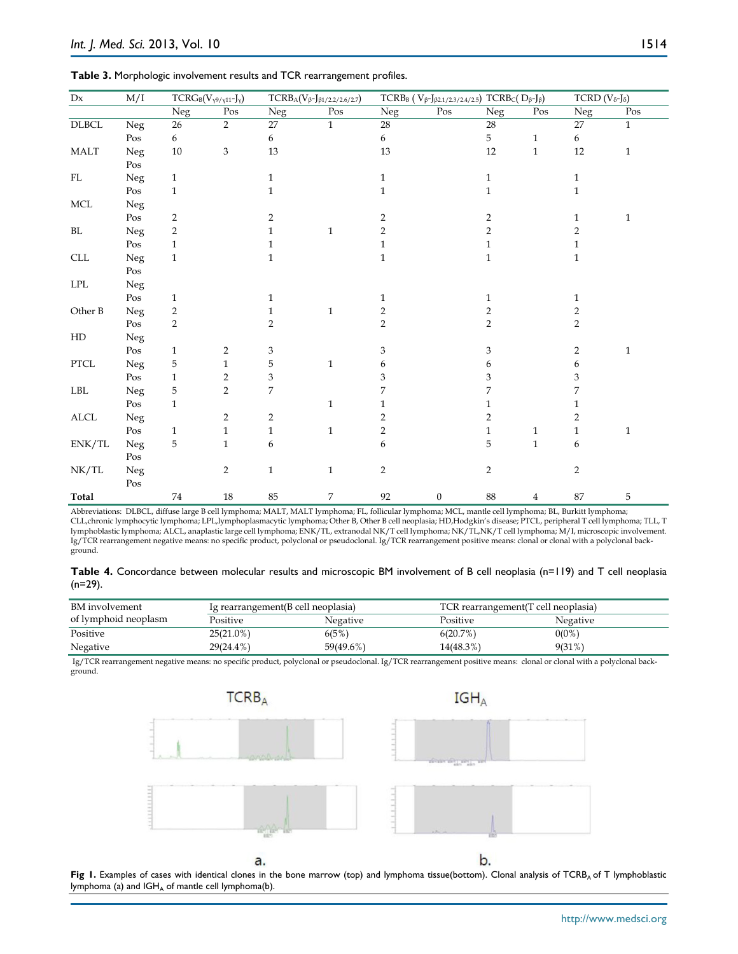| Table 3. Morphologic involvement results and TCR rearrangement profiles. |  |
|--------------------------------------------------------------------------|--|
|--------------------------------------------------------------------------|--|

| M/I<br>Dx                 |                         | $TCRG_B(V_{\gamma^9/\gamma^{11}}-J_{\gamma})$ |                | $TCRB_{\text{A}}(V_{\beta}\text{-J}_{\beta1/2.2/2.6/2.7})$ | TCRBB (V $\beta$ -J $\beta$ 2.1/2.3/2.4/2.5) TCRBc(D $\beta$ -J $\beta$ ) |                                          |              |                |              | TCRD ( $V_{\delta}$ -J $_{\delta}$ ) |              |
|---------------------------|-------------------------|-----------------------------------------------|----------------|------------------------------------------------------------|---------------------------------------------------------------------------|------------------------------------------|--------------|----------------|--------------|--------------------------------------|--------------|
|                           |                         | $\overline{\text{Neg}}$                       | Pos            | Neg                                                        | Pos                                                                       | Neg                                      | Pos          | ${\hbox{Neg}}$ | Pos          | Neg                                  | Pos          |
| $\rm DLBCL$               | Neg                     | 26                                            | $\overline{2}$ | 27                                                         | $\mathbf{1}$                                                              | $28\,$                                   |              | $28\,$         |              | 27                                   | $\mathbf{1}$ |
|                           | Pos                     | $6\,$                                         |                | 6                                                          |                                                                           | 6                                        |              | 5              | $\mathbf{1}$ | 6                                    |              |
| <b>MALT</b>               | Neg                     | 10                                            | 3              | 13                                                         |                                                                           | 13                                       |              | 12             | $\mathbf{1}$ | 12                                   | $\mathbf{1}$ |
|                           | Pos                     |                                               |                |                                                            |                                                                           |                                          |              |                |              |                                      |              |
| $\rm FL$                  | Neg                     | $\mathbf{1}$                                  |                | $\mathbf{1}$                                               |                                                                           | $\mathbf{1}$                             |              | $\mathbf{1}$   |              | $\mathbf{1}$                         |              |
|                           | Pos                     | $\mathbf{1}$                                  |                | $\mathbf{1}$                                               |                                                                           | $\mathbf{1}$                             |              | $\mathbf{1}$   |              | $\mathbf{1}$                         |              |
| <b>MCL</b>                | Neg                     |                                               |                |                                                            |                                                                           |                                          |              |                |              |                                      |              |
|                           | Pos                     | $\overline{c}$                                |                | 2                                                          |                                                                           | 2                                        |              | 2              |              | 1                                    | $\mathbf{1}$ |
| $\rm BL$                  | Neg                     | $\overline{2}$                                |                | $\mathbf{1}$                                               | $\mathbf{1}$                                                              | $\overline{2}$                           |              | $\overline{2}$ |              | $\overline{2}$                       |              |
|                           | Pos                     | $\mathbf{1}$                                  |                | $\mathbf{1}$                                               |                                                                           | $\mathbf{1}$                             |              | 1              |              | $\mathbf{1}$                         |              |
| $\ensuremath{\text{CLL}}$ | Neg                     | $\mathbf{1}$                                  |                | $\mathbf{1}$                                               |                                                                           | $\mathbf{1}$                             |              | $\mathbf{1}$   |              | $\mathbf{1}$                         |              |
|                           | Pos                     |                                               |                |                                                            |                                                                           |                                          |              |                |              |                                      |              |
| $\operatorname{LPL}$      | Neg                     |                                               |                |                                                            |                                                                           |                                          |              |                |              |                                      |              |
|                           | Pos                     | $\mathbf{1}$                                  |                | $\mathbf{1}$                                               |                                                                           | 1                                        |              | 1              |              | 1                                    |              |
| Other B                   | Neg                     | $\overline{2}$                                |                | $\mathbf{1}$                                               | $\,1\,$                                                                   | $\overline{2}$                           |              | 2              |              | $\overline{2}$                       |              |
|                           | $\mathop{\mathrm{Pos}}$ | $\overline{2}$                                |                | $\overline{2}$                                             |                                                                           | $\overline{2}$                           |              | $\overline{2}$ |              | $\overline{2}$                       |              |
| HD                        | Neg                     |                                               |                |                                                            |                                                                           |                                          |              |                |              |                                      |              |
|                           | Pos                     | $\mathbf{1}$                                  | $\overline{2}$ | 3                                                          |                                                                           | 3                                        |              | 3              |              | 2                                    | $\mathbf{1}$ |
| ${\rm PTCL}$              | Neg                     | 5                                             | $\mathbf{1}$   | 5                                                          | $\mathbf 1$                                                               | 6                                        |              | 6              |              | 6                                    |              |
|                           | Pos                     | $\mathbf{1}$                                  | $\overline{c}$ | 3                                                          |                                                                           | 3                                        |              | 3              |              | 3                                    |              |
| ${\rm LBL}$               | Neg                     | 5                                             | $\overline{2}$ | $\overline{7}$                                             |                                                                           | 7                                        |              | 7              |              | 7                                    |              |
|                           | $\mathop{\mathrm{Pos}}$ | $\mathbf{1}$                                  |                |                                                            | $\mathbf{1}$                                                              | $\mathbf{1}$                             |              | $\mathbf{1}$   |              | 1                                    |              |
| $\mbox{ALCL}$             | Neg                     |                                               | $\overline{2}$ | $\overline{c}$                                             |                                                                           | $\overline{2}$                           |              | 2              |              | $\overline{2}$                       |              |
|                           | Pos                     | $\mathbf{1}$                                  | $\mathbf{1}$   | $\mathbf{1}$                                               | $\mathbf{1}$                                                              | $\overline{2}$                           |              | $\mathbf{1}$   | $\mathbf{1}$ | $\mathbf{1}$                         | $\mathbf{1}$ |
| ENK/TL                    | Neg                     | 5                                             | $\mathbf{1}$   | 6                                                          |                                                                           | 6                                        |              | 5              | $\mathbf{1}$ | $\boldsymbol{6}$                     |              |
|                           | Pos                     |                                               |                |                                                            |                                                                           |                                          |              |                |              |                                      |              |
| NK/TL                     | Neg                     |                                               | $\overline{2}$ | $\mathbf 1$                                                | $\mathbf{1}$                                                              | $\overline{2}$                           |              | $\overline{2}$ |              | $\overline{c}$                       |              |
|                           | $\mathop{\mathrm{Pos}}$ |                                               |                |                                                            |                                                                           |                                          |              |                |              |                                      |              |
| Total                     |                         | $74\,$                                        | $18\,$         | 85                                                         | $\overline{7}$                                                            | 92<br>$ETL = 6.413$ and $T_{\text{max}}$ | $\mathbf{0}$ | 88             | 4            | 87                                   | 5            |

Abbreviations: DLBCL, diffuse large B cell lymphoma; MALT, MALT lymphoma; FL, follicular lymphoma; MCL, mantle cell lymphoma; BL, Burkitt lymphoma; CLL,chronic lymphocytic lymphoma; LPL,lymphoplasmacytic lymphoma; Other B, Other B cell neoplasia; HD,Hodgkin's disease; PTCL, peripheral T cell lymphoma; TLL, T lymphoblastic lymphoma; ALCL, anaplastic large cell lymphoma; ENK/TL, extranodal NK/T cell lymphoma; NK/TL,NK/T cell lymphoma; M/I, microscopic involvement. Ig/TCR rearrangement negative means: no specific product, polyclonal or pseudoclonal. Ig/TCR rearrangement positive means: clonal or clonal with a polyclonal background.

**Table 4.** Concordance between molecular results and microscopic BM involvement of B cell neoplasia (n=119) and T cell neoplasia (n=29).

| BM involvement       | Ig rearrangement(B cell neoplasia) |                 | TCR rearrangement (T cell neoplasia) |                 |
|----------------------|------------------------------------|-----------------|--------------------------------------|-----------------|
| of lymphoid neoplasm | Positive                           | <b>Negative</b> | Positive                             | <b>Negative</b> |
| Positive             | $25(21.0\%)$                       | 6(5%)           | 6(20.7%)                             | $0(0\%)$        |
| Negative             | 29(24.4%)                          | 59(49.6%)       | 14(48.3%)                            | 9(31%)          |

Ig/TCR rearrangement negative means: no specific product, polyclonal or pseudoclonal. Ig/TCR rearrangement positive means: clonal or clonal with a polyclonal background.



Fig 1. Examples of cases with identical clones in the bone marrow (top) and lymphoma tissue(bottom). Clonal analysis of TCRB<sub>A</sub> of T lymphoblastic lymphoma (a) and  $IGH_A$  of mantle cell lymphoma(b).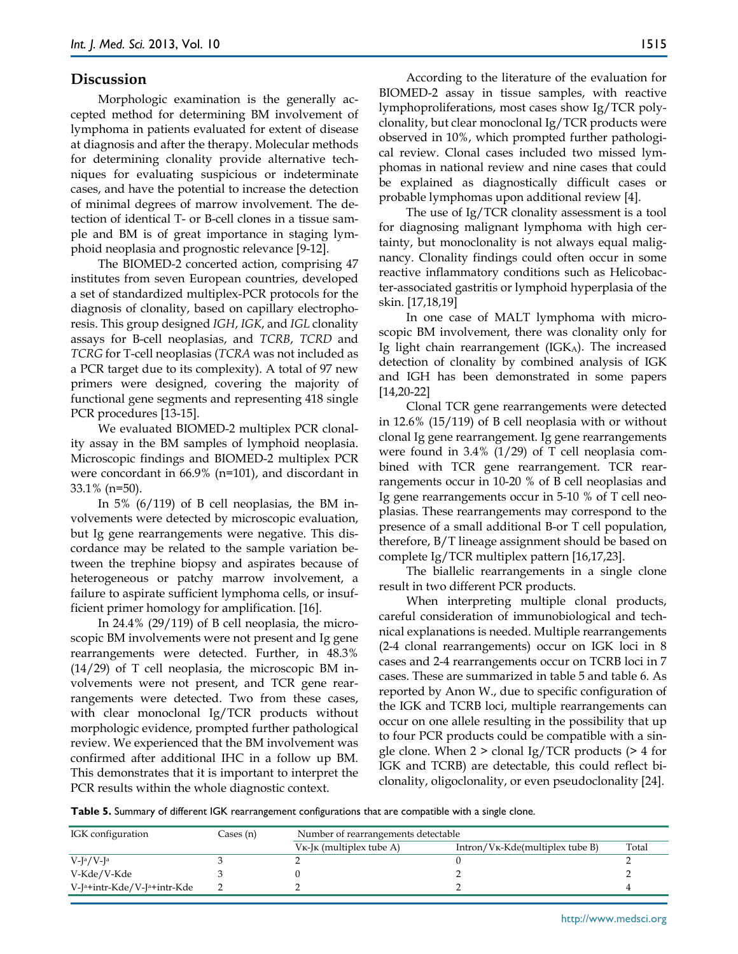#### **Discussion**

Morphologic examination is the generally accepted method for determining BM involvement of lymphoma in patients evaluated for extent of disease at diagnosis and after the therapy. Molecular methods for determining clonality provide alternative techniques for evaluating suspicious or indeterminate cases, and have the potential to increase the detection of minimal degrees of marrow involvement. The detection of identical T- or B-cell clones in a tissue sample and BM is of great importance in staging lymphoid neoplasia and prognostic relevance [9-12].

The BIOMED-2 concerted action, comprising 47 institutes from seven European countries, developed a set of standardized multiplex-PCR protocols for the diagnosis of clonality, based on capillary electrophoresis. This group designed *IGH*, *IGK*, and *IGL* clonality assays for B-cell neoplasias, and *TCRB*, *TCRD* and *TCRG* for T-cell neoplasias (*TCRA* was not included as a PCR target due to its complexity). A total of 97 new primers were designed, covering the majority of functional gene segments and representing 418 single PCR procedures [13-15].

We evaluated BIOMED-2 multiplex PCR clonality assay in the BM samples of lymphoid neoplasia. Microscopic findings and BIOMED-2 multiplex PCR were concordant in 66.9% (n=101), and discordant in 33.1% (n=50).

In 5%  $(6/119)$  of B cell neoplasias, the BM involvements were detected by microscopic evaluation, but Ig gene rearrangements were negative. This discordance may be related to the sample variation between the trephine biopsy and aspirates because of heterogeneous or patchy marrow involvement, a failure to aspirate sufficient lymphoma cells, or insufficient primer homology for amplification. [16].

In 24.4% (29/119) of B cell neoplasia, the microscopic BM involvements were not present and Ig gene rearrangements were detected. Further, in 48.3% (14/29) of T cell neoplasia, the microscopic BM involvements were not present, and TCR gene rearrangements were detected. Two from these cases, with clear monoclonal Ig/TCR products without morphologic evidence, prompted further pathological review. We experienced that the BM involvement was confirmed after additional IHC in a follow up BM. This demonstrates that it is important to interpret the PCR results within the whole diagnostic context.

According to the literature of the evaluation for BIOMED-2 assay in tissue samples, with reactive lymphoproliferations, most cases show Ig/TCR polyclonality, but clear monoclonal Ig/TCR products were observed in 10%, which prompted further pathological review. Clonal cases included two missed lymphomas in national review and nine cases that could be explained as diagnostically difficult cases or probable lymphomas upon additional review [4].

The use of Ig/TCR clonality assessment is a tool for diagnosing malignant lymphoma with high certainty, but monoclonality is not always equal malignancy. Clonality findings could often occur in some reactive inflammatory conditions such as Helicobacter-associated gastritis or lymphoid hyperplasia of the skin. [17,18,19]

In one case of MALT lymphoma with microscopic BM involvement, there was clonality only for Ig light chain rearrangement  $(IGK<sub>A</sub>)$ . The increased detection of clonality by combined analysis of IGK and IGH has been demonstrated in some papers [14,20-22]

Clonal TCR gene rearrangements were detected in 12.6% (15/119) of B cell neoplasia with or without clonal Ig gene rearrangement. Ig gene rearrangements were found in 3.4% (1/29) of T cell neoplasia combined with TCR gene rearrangement. TCR rearrangements occur in 10-20 % of B cell neoplasias and Ig gene rearrangements occur in 5-10 % of T cell neoplasias. These rearrangements may correspond to the presence of a small additional B-or T cell population, therefore, B/T lineage assignment should be based on complete Ig/TCR multiplex pattern [16,17,23].

The biallelic rearrangements in a single clone result in two different PCR products.

When interpreting multiple clonal products, careful consideration of immunobiological and technical explanations is needed. Multiple rearrangements (2-4 clonal rearrangements) occur on IGK loci in 8 cases and 2-4 rearrangements occur on TCRB loci in 7 cases. These are summarized in table 5 and table 6. As reported by Anon W., due to specific configuration of the IGK and TCRB loci, multiple rearrangements can occur on one allele resulting in the possibility that up to four PCR products could be compatible with a single clone. When 2 > clonal Ig/TCR products (> 4 for IGK and TCRB) are detectable, this could reflect biclonality, oligoclonality, or even pseudoclonality [24].

**Table 5.** Summary of different IGK rearrangement configurations that are compatible with a single clone.

| IGK configuration           | Cases (n) | Number of rearrangements detectable |                                   |       |  |  |  |
|-----------------------------|-----------|-------------------------------------|-----------------------------------|-------|--|--|--|
|                             |           | $V_{K}$ -J $K$ (multiplex tube A)   | $Intron/VK-Kde(multiplex tube B)$ | Total |  |  |  |
| $V-Ia/V-Ia$                 |           |                                     |                                   |       |  |  |  |
| V-Kde/V-Kde                 |           |                                     |                                   |       |  |  |  |
| V-Ja+intr-Kde/V-Ja+intr-Kde |           |                                     |                                   |       |  |  |  |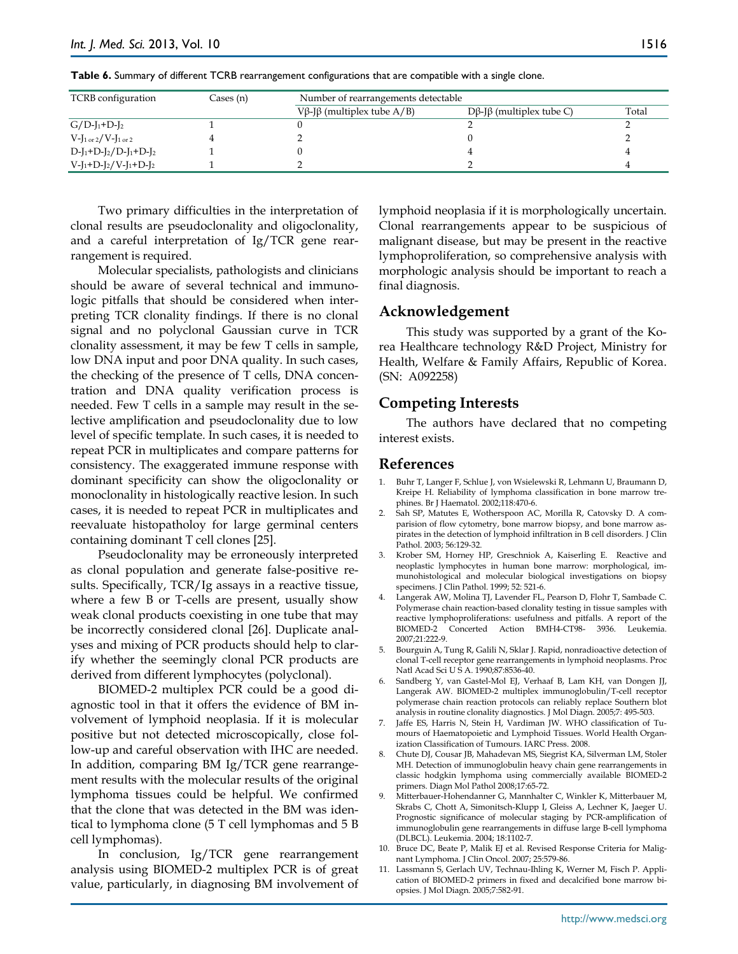| TCRB configuration                            | Cases (n) | Number of rearrangements detectable |                          |       |  |  |  |  |
|-----------------------------------------------|-----------|-------------------------------------|--------------------------|-------|--|--|--|--|
|                                               |           | Vβ-Jβ (multiplex tube $A/B$ )       | Dβ-Jβ (multiplex tube C) | Total |  |  |  |  |
| $G/D-I_1+D-I_2$                               |           |                                     |                          |       |  |  |  |  |
| $V-I_{1 \text{ or } 2}/V-I_{1 \text{ or } 2}$ |           |                                     |                          |       |  |  |  |  |
| $D-[1+D-[2/D-[1+D-[2$                         |           |                                     |                          |       |  |  |  |  |
| $V-I_1+D-I_2/V-I_1+D-I_2$                     |           |                                     |                          |       |  |  |  |  |

**Table 6.** Summary of different TCRB rearrangement configurations that are compatible with a single clone.

Two primary difficulties in the interpretation of clonal results are pseudoclonality and oligoclonality, and a careful interpretation of Ig/TCR gene rearrangement is required.

Molecular specialists, pathologists and clinicians should be aware of several technical and immunologic pitfalls that should be considered when interpreting TCR clonality findings. If there is no clonal signal and no polyclonal Gaussian curve in TCR clonality assessment, it may be few T cells in sample, low DNA input and poor DNA quality. In such cases, the checking of the presence of T cells, DNA concentration and DNA quality verification process is needed. Few T cells in a sample may result in the selective amplification and pseudoclonality due to low level of specific template. In such cases, it is needed to repeat PCR in multiplicates and compare patterns for consistency. The exaggerated immune response with dominant specificity can show the oligoclonality or monoclonality in histologically reactive lesion. In such cases, it is needed to repeat PCR in multiplicates and reevaluate histopatholoy for large germinal centers containing dominant T cell clones [25].

Pseudoclonality may be erroneously interpreted as clonal population and generate false-positive results. Specifically, TCR/Ig assays in a reactive tissue, where a few B or T-cells are present, usually show weak clonal products coexisting in one tube that may be incorrectly considered clonal [26]. Duplicate analyses and mixing of PCR products should help to clarify whether the seemingly clonal PCR products are derived from different lymphocytes (polyclonal).

BIOMED-2 multiplex PCR could be a good diagnostic tool in that it offers the evidence of BM involvement of lymphoid neoplasia. If it is molecular positive but not detected microscopically, close follow-up and careful observation with IHC are needed. In addition, comparing BM Ig/TCR gene rearrangement results with the molecular results of the original lymphoma tissues could be helpful. We confirmed that the clone that was detected in the BM was identical to lymphoma clone (5 T cell lymphomas and 5 B cell lymphomas).

In conclusion, Ig/TCR gene rearrangement analysis using BIOMED-2 multiplex PCR is of great value, particularly, in diagnosing BM involvement of lymphoid neoplasia if it is morphologically uncertain. Clonal rearrangements appear to be suspicious of malignant disease, but may be present in the reactive lymphoproliferation, so comprehensive analysis with morphologic analysis should be important to reach a final diagnosis.

#### **Acknowledgement**

This study was supported by a grant of the Korea Healthcare technology R&D Project, Ministry for Health, Welfare & Family Affairs, Republic of Korea. (SN: A092258)

## **Competing Interests**

The authors have declared that no competing interest exists.

## **References**

- 1. Buhr T, Langer F, Schlue J, von Wsielewski R, Lehmann U, Braumann D, Kreipe H. Reliability of lymphoma classification in bone marrow trephines. Br J Haematol. 2002;118:470-6.
- 2. Sah SP, Matutes E, Wotherspoon AC, Morilla R, Catovsky D. A comparision of flow cytometry, bone marrow biopsy, and bone marrow aspirates in the detection of lymphoid infiltration in B cell disorders. J Clin Pathol. 2003; 56:129-32.
- 3. Krober SM, Horney HP, Greschniok A, Kaiserling E. Reactive and neoplastic lymphocytes in human bone marrow: morphological, immunohistological and molecular biological investigations on biopsy specimens. J Clin Pathol. 1999; 52: 521-6.
- 4. Langerak AW, Molina TJ, Lavender FL, Pearson D, Flohr T, Sambade C. Polymerase chain reaction-based clonality testing in tissue samples with reactive lymphoproliferations: usefulness and pitfalls. A report of the BIOMED-2 Concerted Action BMH4-CT98- 3936. Leukemia. 2007;21:222-9.
- 5. Bourguin A, Tung R, Galili N, Sklar J. Rapid, nonradioactive detection of clonal T-cell receptor gene rearrangements in lymphoid neoplasms. Proc Natl Acad Sci U S A. 1990;87:8536-40.
- 6. Sandberg Y, van Gastel-Mol EJ, Verhaaf B, Lam KH, van Dongen JJ, Langerak AW. BIOMED-2 multiplex immunoglobulin/T-cell receptor polymerase chain reaction protocols can reliably replace Southern blot analysis in routine clonality diagnostics. J Mol Diagn. 2005;7: 495-503.
- 7. Jaffe ES, Harris N, Stein H, Vardiman JW. WHO classification of Tumours of Haematopoietic and Lymphoid Tissues. World Health Organization Classification of Tumours. IARC Press. 2008.
- 8. Chute DJ, Cousar JB, Mahadevan MS, Siegrist KA, Silverman LM, Stoler MH. Detection of immunoglobulin heavy chain gene rearrangements in classic hodgkin lymphoma using commercially available BIOMED-2 primers. Diagn Mol Pathol 2008;17:65-72.
- 9. Mitterbauer-Hohendanner G, Mannhalter C, Winkler K, Mitterbauer M, Skrabs C, Chott A, Simonitsch-Klupp I, Gleiss A, Lechner K, Jaeger U. Prognostic significance of molecular staging by PCR-amplification of immunoglobulin gene rearrangements in diffuse large B-cell lymphoma (DLBCL). Leukemia. 2004; 18:1102-7.
- 10. Bruce DC, Beate P, Malik EJ et al. Revised Response Criteria for Malignant Lymphoma. J Clin Oncol. 2007; 25:579-86.
- 11. Lassmann S, Gerlach UV, Technau-Ihling K, Werner M, Fisch P. Application of BIOMED-2 primers in fixed and decalcified bone marrow biopsies. J Mol Diagn. 2005;7:582-91.